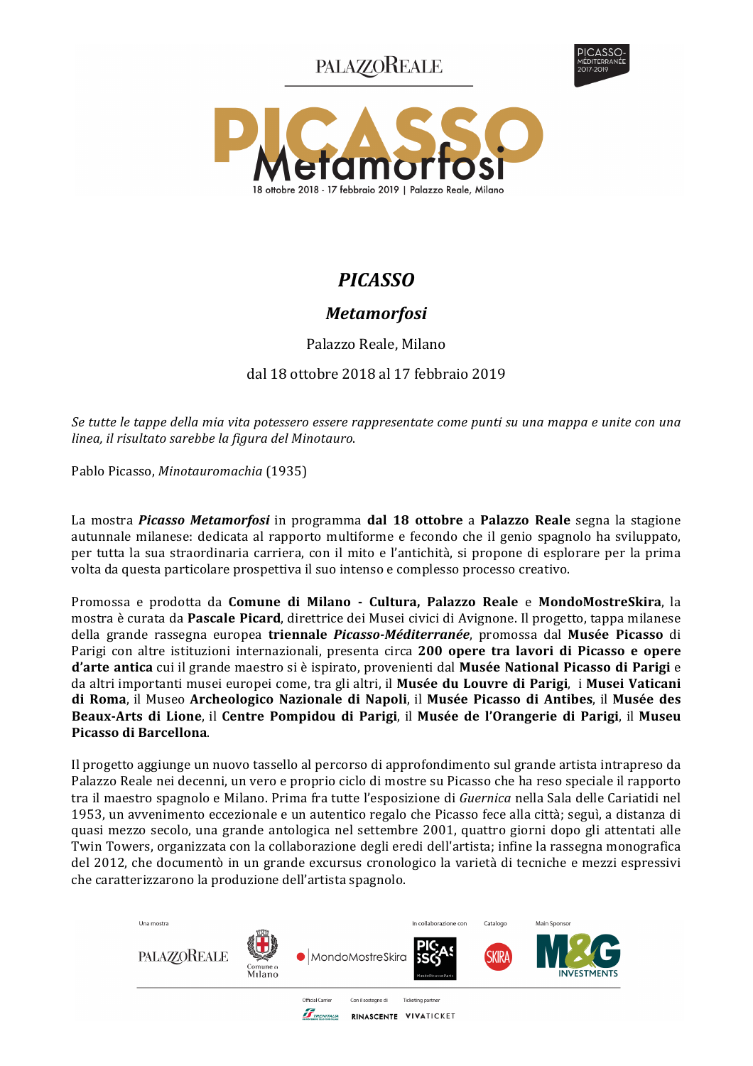**PALAZZOREALE** 





# **PICASSO**

## **Metamorfosi**

Palazzo Reale, Milano

### dal 18 ottobre 2018 al 17 febbraio 2019

Se tutte le tappe della mia vita potessero essere rappresentate come punti su una mappa e unite con una linea, il risultato sarebbe la figura del Minotauro.

Pablo Picasso, Minotauromachia (1935)

La mostra *Picasso Metamorfosi* in programma dal 18 ottobre a Palazzo Reale segna la stagione autunnale milanese: dedicata al rapporto multiforme e fecondo che il genio spagnolo ha sviluppato, per tutta la sua straordinaria carriera, con il mito e l'antichità, si propone di esplorare per la prima volta da questa particolare prospettiva il suo intenso e complesso processo creativo.

Promossa e prodotta da Comune di Milano - Cultura, Palazzo Reale e MondoMostreSkira, la mostra è curata da **Pascale Picard**, direttrice dei Musei civici di Avignone. Il progetto, tappa milanese della grande rassegna europea triennale Picasso-Méditerranée, promossa dal Musée Picasso di Parigi con altre istituzioni internazionali, presenta circa 200 opere tra lavori di Picasso e opere d'arte antica cui il grande maestro si è ispirato, provenienti dal Musée National Picasso di Parigi e da altri importanti musei europei come, tra gli altri, il Musée du Louvre di Parigi, i Musei Vaticani di Roma, il Museo Archeologico Nazionale di Napoli, il Musée Picasso di Antibes, il Musée des Beaux-Arts di Lione, il Centre Pompidou di Parigi, il Musée de l'Orangerie di Parigi, il Museu Picasso di Barcellona.

Il progetto aggiunge un nuovo tassello al percorso di approfondimento sul grande artista intrapreso da Palazzo Reale nei decenni, un vero e proprio ciclo di mostre su Picasso che ha reso speciale il rapporto tra il maestro spagnolo e Milano. Prima fra tutte l'esposizione di Guernica nella Sala delle Cariatidi nel 1953, un avvenimento eccezionale e un autentico regalo che Picasso fece alla città; seguì, a distanza di quasi mezzo secolo, una grande antologica nel settembre 2001, quattro giorni dopo gli attentati alle Twin Towers, organizzata con la collaborazione degli eredi dell'artista; infine la rassegna monografica del 2012, che documentò in un grande excursus cronologico la varietà di tecniche e mezzi espressivi che caratterizzarono la produzione dell'artista spagnolo.

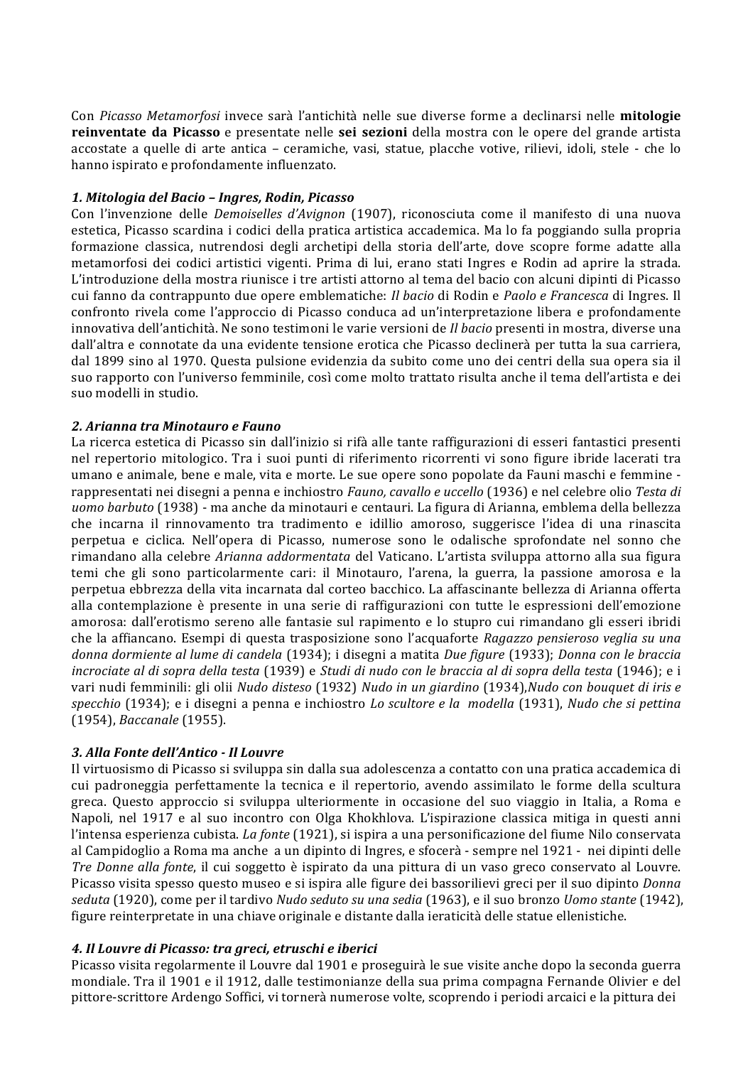Con Picasso Metamorfosi invece sarà l'antichità nelle sue diverse forme a declinarsi nelle mitologie reinventate da Picasso e presentate nelle sei sezioni della mostra con le opere del grande artista accostate a quelle di arte antica – ceramiche, vasi, statue, placche votive, rilievi, idoli, stele - che lo hanno ispirato e profondamente influenzato.

#### 1. Mitologia del Bacio - Ingres, Rodin, Picasso

Con l'invenzione delle Demoiselles d'Avignon (1907), riconosciuta come il manifesto di una nuova estetica. Picasso scardina i codici della pratica artistica accademica. Ma lo fa poggiando sulla propria formazione classica, nutrendosi degli archetipi della storia dell'arte, dove scopre forme adatte alla metamorfosi dei codici artistici vigenti. Prima di lui, erano stati Ingres e Rodin ad aprire la strada. L'introduzione della mostra riunisce i tre artisti attorno al tema del bacio con alcuni dipinti di Picasso cui fanno da contrappunto due opere emblematiche: *Il bacio* di Rodin e *Paolo e Francesca* di Ingres. Il confronto rivela come l'approccio di Picasso conduca ad un'interpretazione libera e profondamente innovativa dell'antichità. Ne sono testimoni le varie versioni de *Il bacio* presenti in mostra, diverse una dall'altra e connotate da una evidente tensione erotica che Picasso declinerà per tutta la sua carriera, dal 1899 sino al 1970. Questa pulsione evidenzia da subito come uno dei centri della sua opera sia il suo rapporto con l'universo femminile, così come molto trattato risulta anche il tema dell'artista e dei suo modelli in studio.

#### 2. Arianna tra Minotauro e Fauno

La ricerca estetica di Picasso sin dall'inizio si rifà alle tante raffigurazioni di esseri fantastici presenti nel repertorio mitologico. Tra i suoi punti di riferimento ricorrenti vi sono figure ibride lacerati tra umano e animale, bene e male, vita e morte. Le sue opere sono popolate da Fauni maschi e femmine rappresentati nei disegni a penna e inchiostro Fauno, cavallo e uccello (1936) e nel celebre olio Testa di uomo barbuto (1938) - ma anche da minotauri e centauri. La figura di Arianna, emblema della bellezza che incarna il rinnovamento tra tradimento e idillio amoroso, suggerisce l'idea di una rinascita perpetua e ciclica. Nell'opera di Picasso, numerose sono le odalische sprofondate nel sonno che rimandano alla celebre Arianna addormentata del Vaticano. L'artista sviluppa attorno alla sua figura temi che gli sono particolarmente cari: il Minotauro, l'arena, la guerra, la passione amorosa e la perpetua ebbrezza della vita incarnata dal corteo bacchico. La affascinante bellezza di Arianna offerta alla contemplazione è presente in una serie di raffigurazioni con tutte le espressioni dell'emozione amorosa: dall'erotismo sereno alle fantasie sul rapimento e lo stupro cui rimandano gli esseri ibridi che la affiancano. Esempi di questa trasposizione sono l'acquaforte Ragazzo pensieroso veglia su una donna dormiente al lume di candela (1934); i disegni a matita Due figure (1933); Donna con le braccia incrociate al di sopra della testa (1939) e Studi di nudo con le braccia al di sopra della testa (1946); e i vari nudi femminili: gli olii Nudo disteso (1932) Nudo in un giardino (1934), Nudo con bouquet di iris e specchio (1934); e i disegni a penna e inchiostro Lo scultore e la modella (1931), Nudo che si pettina (1954). *Baccanale* (1955).

#### 3. Alla Fonte dell'Antico - Il Louvre

Il virtuosismo di Picasso si sviluppa sin dalla sua adolescenza a contatto con una pratica accademica di cui padroneggia perfettamente la tecnica e il repertorio, avendo assimilato le forme della scultura greca. Questo approccio si sviluppa ulteriormente in occasione del suo viaggio in Italia, a Roma e Napoli, nel 1917 e al suo incontro con Olga Khokhlova. L'ispirazione classica mitiga in questi anni l'intensa esperienza cubista. La fonte (1921), si ispira a una personificazione del fiume Nilo conservata al Campidoglio a Roma ma anche a un dipinto di Ingres, e sfocerà - sempre nel 1921 - nei dipinti delle Tre Donne alla fonte, il cui soggetto è ispirato da una pittura di un vaso greco conservato al Louvre. Picasso visita spesso questo museo e si ispira alle figure dei bassorilievi greci per il suo dipinto Donna seduta (1920), come per il tardivo Nudo seduto su una sedia (1963), e il suo bronzo Uomo stante (1942), figure reinterpretate in una chiave originale e distante dalla ieraticità delle statue ellenistiche.

#### 4. Il Louvre di Picasso: tra greci, etruschi e iberici

Picasso visita regolarmente il Louvre dal 1901 e proseguirà le sue visite anche dopo la seconda guerra mondiale. Tra il 1901 e il 1912, dalle testimonianze della sua prima compagna Fernande Olivier e del pittore-scrittore Ardengo Soffici, vi tornerà numerose volte, scoprendo i periodi arcaici e la pittura dei